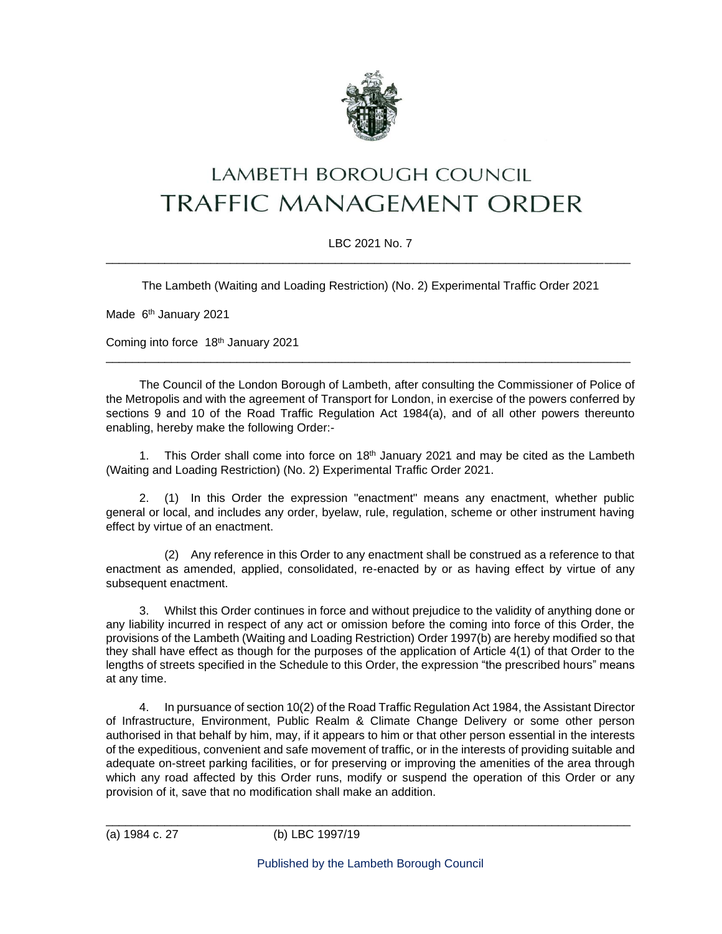

# **LAMBETH BOROUGH COUNCIL TRAFFIC MANAGEMENT ORDER**

## LBC 2021 No. 7 \_\_\_\_\_\_\_\_\_\_\_\_\_\_\_\_\_\_\_\_\_\_\_\_\_\_\_\_\_\_\_\_\_\_\_\_\_\_\_\_\_\_\_\_\_\_\_\_\_\_\_\_\_\_\_\_\_\_\_\_\_\_\_\_\_\_\_\_\_\_\_\_\_\_\_\_\_\_\_\_

The Lambeth (Waiting and Loading Restriction) (No. 2) Experimental Traffic Order 2021

Made 6<sup>th</sup> January 2021

Coming into force 18<sup>th</sup> January 2021

The Council of the London Borough of Lambeth, after consulting the Commissioner of Police of the Metropolis and with the agreement of Transport for London, in exercise of the powers conferred by sections 9 and 10 of the Road Traffic Regulation Act 1984(a), and of all other powers thereunto enabling, hereby make the following Order:-

\_\_\_\_\_\_\_\_\_\_\_\_\_\_\_\_\_\_\_\_\_\_\_\_\_\_\_\_\_\_\_\_\_\_\_\_\_\_\_\_\_\_\_\_\_\_\_\_\_\_\_\_\_\_\_\_\_\_\_\_\_\_\_\_\_\_\_\_\_\_\_\_\_\_\_\_\_\_\_\_

1. This Order shall come into force on  $18<sup>th</sup>$  January 2021 and may be cited as the Lambeth (Waiting and Loading Restriction) (No. 2) Experimental Traffic Order 2021.

2. (1) In this Order the expression "enactment" means any enactment, whether public general or local, and includes any order, byelaw, rule, regulation, scheme or other instrument having effect by virtue of an enactment.

(2) Any reference in this Order to any enactment shall be construed as a reference to that enactment as amended, applied, consolidated, re-enacted by or as having effect by virtue of any subsequent enactment.

3. Whilst this Order continues in force and without prejudice to the validity of anything done or any liability incurred in respect of any act or omission before the coming into force of this Order, the provisions of the Lambeth (Waiting and Loading Restriction) Order 1997(b) are hereby modified so that they shall have effect as though for the purposes of the application of Article 4(1) of that Order to the lengths of streets specified in the Schedule to this Order, the expression "the prescribed hours" means at any time.

4. In pursuance of section 10(2) of the Road Traffic Regulation Act 1984, the Assistant Director of Infrastructure, Environment, Public Realm & Climate Change Delivery or some other person authorised in that behalf by him, may, if it appears to him or that other person essential in the interests of the expeditious, convenient and safe movement of traffic, or in the interests of providing suitable and adequate on-street parking facilities, or for preserving or improving the amenities of the area through which any road affected by this Order runs, modify or suspend the operation of this Order or any provision of it, save that no modification shall make an addition.

\_\_\_\_\_\_\_\_\_\_\_\_\_\_\_\_\_\_\_\_\_\_\_\_\_\_\_\_\_\_\_\_\_\_\_\_\_\_\_\_\_\_\_\_\_\_\_\_\_\_\_\_\_\_\_\_\_\_\_\_\_\_\_\_\_\_\_\_\_\_\_\_\_\_\_\_\_\_\_\_